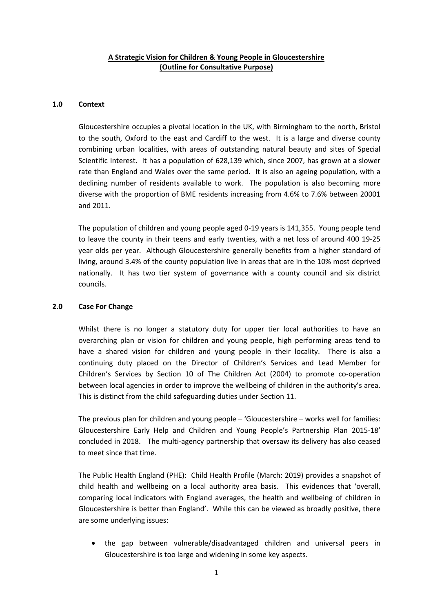# **A Strategic Vision for Children & Young People in Gloucestershire (Outline for Consultative Purpose)**

### **1.0 Context**

Gloucestershire occupies a pivotal location in the UK, with Birmingham to the north, Bristol to the south, Oxford to the east and Cardiff to the west. It is a large and diverse county combining urban localities, with areas of outstanding natural beauty and sites of Special Scientific Interest. It has a population of 628,139 which, since 2007, has grown at a slower rate than England and Wales over the same period. It is also an ageing population, with a declining number of residents available to work. The population is also becoming more diverse with the proportion of BME residents increasing from 4.6% to 7.6% between 20001 and 2011.

The population of children and young people aged 0-19 years is 141,355. Young people tend to leave the county in their teens and early twenties, with a net loss of around 400 19-25 year olds per year. Although Gloucestershire generally benefits from a higher standard of living, around 3.4% of the county population live in areas that are in the 10% most deprived nationally. It has two tier system of governance with a county council and six district councils.

## **2.0 Case For Change**

Whilst there is no longer a statutory duty for upper tier local authorities to have an overarching plan or vision for children and young people, high performing areas tend to have a shared vision for children and young people in their locality. There is also a continuing duty placed on the Director of Children's Services and Lead Member for Children's Services by Section 10 of The Children Act (2004) to promote co-operation between local agencies in order to improve the wellbeing of children in the authority's area. This is distinct from the child safeguarding duties under Section 11.

The previous plan for children and young people – 'Gloucestershire – works well for families: Gloucestershire Early Help and Children and Young People's Partnership Plan 2015-18' concluded in 2018. The multi-agency partnership that oversaw its delivery has also ceased to meet since that time.

The Public Health England (PHE): Child Health Profile (March: 2019) provides a snapshot of child health and wellbeing on a local authority area basis. This evidences that 'overall, comparing local indicators with England averages, the health and wellbeing of children in Gloucestershire is better than England'. While this can be viewed as broadly positive, there are some underlying issues:

 the gap between vulnerable/disadvantaged children and universal peers in Gloucestershire is too large and widening in some key aspects.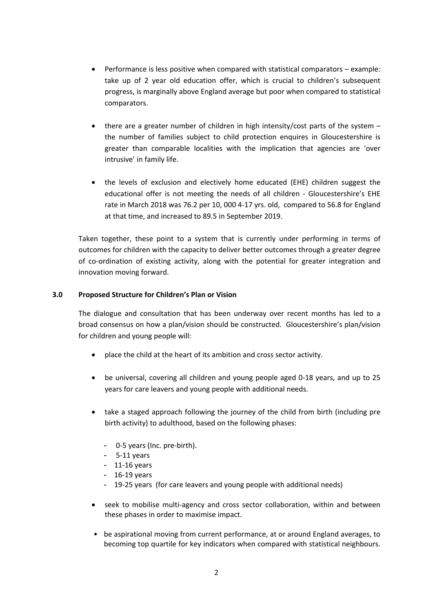- Performance is less positive when compared with statistical comparators example: take up of 2 year old education offer, which is crucial to children's subsequent progress, is marginally above England average but poor when compared to statistical comparators.
- there are a greater number of children in high intensity/cost parts of the system the number of families subject to child protection enquires in Gloucestershire is greater than comparable localities with the implication that agencies are 'over intrusive' in family life.
- the levels of exclusion and electively home educated (EHE) children suggest the educational offer is not meeting the needs of all children - Gloucestershire's EHE rate in March 2018 was 76.2 per 10, 000 4-17 yrs. old, compared to 56.8 for England at that time, and increased to 89.5 in September 2019.

Taken together, these point to a system that is currently under performing in terms of outcomes for children with the capacity to deliver better outcomes through a greater degree of co-ordination of existing activity, along with the potential for greater integration and innovation moving forward.

# **3.0 Proposed Structure for Children's Plan or Vision**

The dialogue and consultation that has been underway over recent months has led to a broad consensus on how a plan/vision should be constructed. Gloucestershire's plan/vision for children and young people will:

- place the child at the heart of its ambition and cross sector activity.
- be universal, covering all children and young people aged 0-18 years, and up to 25 years for care leavers and young people with additional needs.
- take a staged approach following the journey of the child from birth (including pre birth activity) to adulthood, based on the following phases:
	- 0-5 years (Inc. pre-birth).
	- 5-11 years
	- 11-16 years
	- 16-19 years
	- 19-25 years (for care leavers and young people with additional needs)
- seek to mobilise multi-agency and cross sector collaboration, within and between these phases in order to maximise impact.
- be aspirational moving from current performance, at or around England averages, to becoming top quartile for key indicators when compared with statistical neighbours.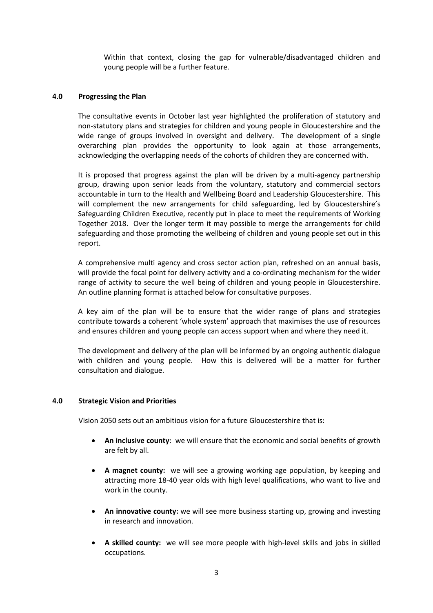Within that context, closing the gap for vulnerable/disadvantaged children and young people will be a further feature.

### **4.0 Progressing the Plan**

The consultative events in October last year highlighted the proliferation of statutory and non-statutory plans and strategies for children and young people in Gloucestershire and the wide range of groups involved in oversight and delivery. The development of a single overarching plan provides the opportunity to look again at those arrangements, acknowledging the overlapping needs of the cohorts of children they are concerned with.

It is proposed that progress against the plan will be driven by a multi-agency partnership group, drawing upon senior leads from the voluntary, statutory and commercial sectors accountable in turn to the Health and Wellbeing Board and Leadership Gloucestershire. This will complement the new arrangements for child safeguarding, led by Gloucestershire's Safeguarding Children Executive, recently put in place to meet the requirements of Working Together 2018. Over the longer term it may possible to merge the arrangements for child safeguarding and those promoting the wellbeing of children and young people set out in this report.

A comprehensive multi agency and cross sector action plan, refreshed on an annual basis, will provide the focal point for delivery activity and a co-ordinating mechanism for the wider range of activity to secure the well being of children and young people in Gloucestershire. An outline planning format is attached below for consultative purposes.

A key aim of the plan will be to ensure that the wider range of plans and strategies contribute towards a coherent 'whole system' approach that maximises the use of resources and ensures children and young people can access support when and where they need it.

The development and delivery of the plan will be informed by an ongoing authentic dialogue with children and young people. How this is delivered will be a matter for further consultation and dialogue.

#### **4.0 Strategic Vision and Priorities**

Vision 2050 sets out an ambitious vision for a future Gloucestershire that is:

- **An inclusive county**: we will ensure that the economic and social benefits of growth are felt by all.
- **A magnet county:** we will see a growing working age population, by keeping and attracting more 18-40 year olds with high level qualifications, who want to live and work in the county.
- **An innovative county:** we will see more business starting up, growing and investing in research and innovation.
- **A skilled county:** we will see more people with high-level skills and jobs in skilled occupations.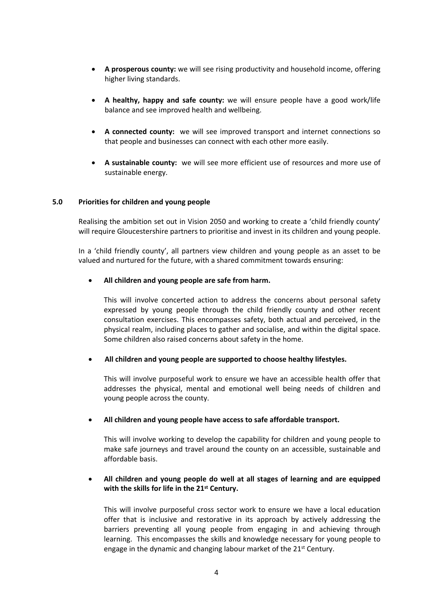- **A prosperous county:** we will see rising productivity and household income, offering higher living standards.
- **A healthy, happy and safe county:** we will ensure people have a good work/life balance and see improved health and wellbeing.
- **A connected county:** we will see improved transport and internet connections so that people and businesses can connect with each other more easily.
- **A sustainable county:** we will see more efficient use of resources and more use of sustainable energy.

### **5.0 Priorities for children and young people**

Realising the ambition set out in Vision 2050 and working to create a 'child friendly county' will require Gloucestershire partners to prioritise and invest in its children and young people.

In a 'child friendly county', all partners view children and young people as an asset to be valued and nurtured for the future, with a shared commitment towards ensuring:

#### **All children and young people are safe from harm.**

This will involve concerted action to address the concerns about personal safety expressed by young people through the child friendly county and other recent consultation exercises. This encompasses safety, both actual and perceived, in the physical realm, including places to gather and socialise, and within the digital space. Some children also raised concerns about safety in the home.

#### **All children and young people are supported to choose healthy lifestyles.**

This will involve purposeful work to ensure we have an accessible health offer that addresses the physical, mental and emotional well being needs of children and young people across the county.

#### **All children and young people have access to safe affordable transport.**

This will involve working to develop the capability for children and young people to make safe journeys and travel around the county on an accessible, sustainable and affordable basis.

## **All children and young people do well at all stages of learning and are equipped with the skills for life in the 21st Century.**

This will involve purposeful cross sector work to ensure we have a local education offer that is inclusive and restorative in its approach by actively addressing the barriers preventing all young people from engaging in and achieving through learning. This encompasses the skills and knowledge necessary for young people to engage in the dynamic and changing labour market of the 21<sup>st</sup> Century.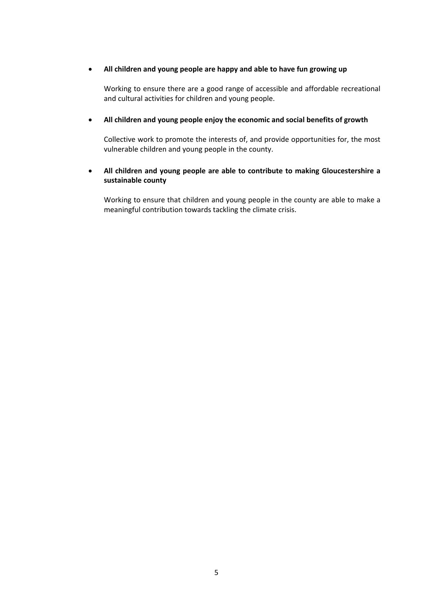## **All children and young people are happy and able to have fun growing up**

Working to ensure there are a good range of accessible and affordable recreational and cultural activities for children and young people.

## **All children and young people enjoy the economic and social benefits of growth**

Collective work to promote the interests of, and provide opportunities for, the most vulnerable children and young people in the county.

# **All children and young people are able to contribute to making Gloucestershire a sustainable county**

Working to ensure that children and young people in the county are able to make a meaningful contribution towards tackling the climate crisis.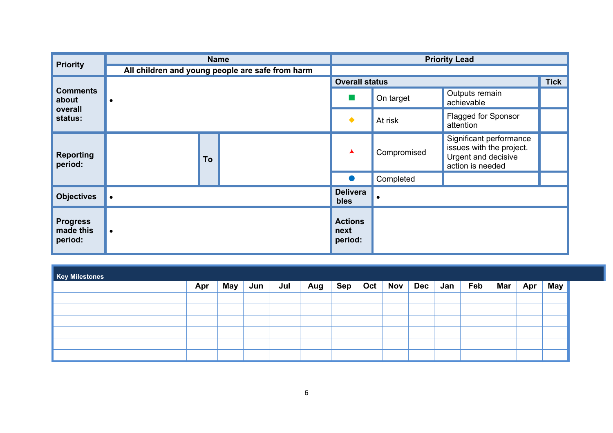| <b>Priority</b>                         |           | <b>Name</b>                                      | <b>Priority Lead</b>              |                                                    |                                                                                                |  |  |  |  |  |
|-----------------------------------------|-----------|--------------------------------------------------|-----------------------------------|----------------------------------------------------|------------------------------------------------------------------------------------------------|--|--|--|--|--|
|                                         |           | All children and young people are safe from harm |                                   |                                                    |                                                                                                |  |  |  |  |  |
| <b>Comments</b><br>about                |           |                                                  | <b>Overall status</b>             |                                                    |                                                                                                |  |  |  |  |  |
|                                         | $\bullet$ |                                                  | ×                                 | Outputs remain<br>On target<br>achievable          |                                                                                                |  |  |  |  |  |
| overall<br>status:                      |           |                                                  | $\blacklozenge$                   | <b>Flagged for Sponsor</b><br>At risk<br>attention |                                                                                                |  |  |  |  |  |
| <b>Reporting</b><br>period:             |           | To                                               | ▲                                 | Compromised                                        | Significant performance<br>issues with the project.<br>Urgent and decisive<br>action is needed |  |  |  |  |  |
|                                         |           |                                                  | $\bullet$                         | Completed                                          |                                                                                                |  |  |  |  |  |
| <b>Objectives</b>                       | $\bullet$ |                                                  | <b>Delivera</b><br>bles           |                                                    |                                                                                                |  |  |  |  |  |
| <b>Progress</b><br>made this<br>period: | $\bullet$ |                                                  | <b>Actions</b><br>next<br>period: |                                                    |                                                                                                |  |  |  |  |  |

| <b>Key Milestones</b> |     |     |     |     |     |     |     |     |             |     |     |     |     |     |
|-----------------------|-----|-----|-----|-----|-----|-----|-----|-----|-------------|-----|-----|-----|-----|-----|
|                       | Apr | May | Jun | Jul | Aug | Sep | Oct | Nov | $ $ Dec $ $ | Jan | Feb | Mar | Apr | May |
|                       |     |     |     |     |     |     |     |     |             |     |     |     |     |     |
|                       |     |     |     |     |     |     |     |     |             |     |     |     |     |     |
|                       |     |     |     |     |     |     |     |     |             |     |     |     |     |     |
|                       |     |     |     |     |     |     |     |     |             |     |     |     |     |     |
|                       |     |     |     |     |     |     |     |     |             |     |     |     |     |     |
|                       |     |     |     |     |     |     |     |     |             |     |     |     |     |     |